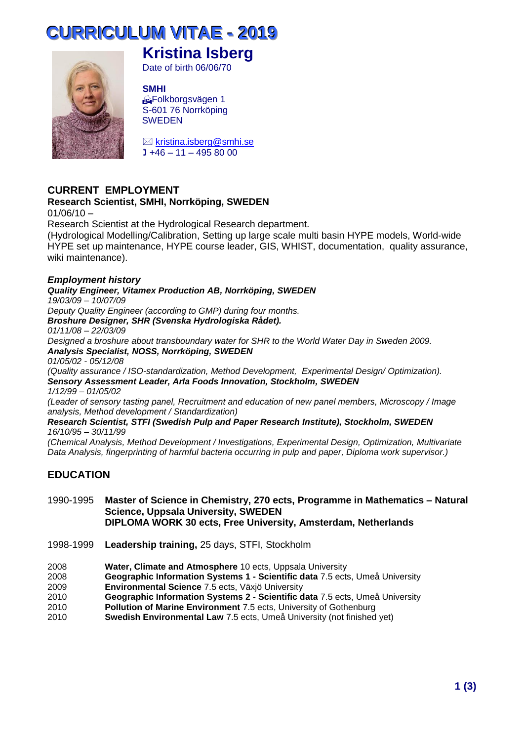# **CURRIICULUM VIITAE - 2019**



## **Kristina Isberg**

Date of birth 06/06/70

#### **SMHI**

Folkborgsvägen 1 S-601 76 Norrköping **SWEDEN** 

 $\boxtimes$  [kristina.isberg@smhi.se](mailto:kristina.isberg@smhi.se)  $1 + 46 - 11 - 4958000$ 

## **CURRENT EMPLOYMENT**

#### **Research Scientist, SMHI, Norrköping, SWEDEN**

 $01/06/10 -$ 

Research Scientist at the Hydrological Research department.

(Hydrological Modelling/Calibration, Setting up large scale multi basin HYPE models, World-wide HYPE set up maintenance, HYPE course leader, GIS, WHIST, documentation, quality assurance, wiki maintenance).

#### *Employment history*

#### *Quality Engineer, Vitamex Production AB, Norrköping, SWEDEN*

*19/03/09 – 10/07/09*

*Deputy Quality Engineer (according to GMP) during four months.* 

*Broshure Designer, SHR (Svenska Hydrologiska Rådet).*

*01/11/08 – 22/03/09*

*Designed a broshure about transboundary water for SHR to the World Water Day in Sweden 2009. Analysis Specialist, NOSS, Norrköping, SWEDEN*

*01/05/02 - 05/12/08*

*(Quality assurance / ISO-standardization, Method Development, Experimental Design/ Optimization). Sensory Assessment Leader, Arla Foods Innovation, Stockholm, SWEDEN*

*1/12/99 – 01/05/02*

*(Leader of sensory tasting panel, Recruitment and education of new panel members, Microscopy / Image analysis, Method development / Standardization)*

#### *Research Scientist, STFI (Swedish Pulp and Paper Research Institute), Stockholm, SWEDEN 16/10/95 – 30/11/99*

*(Chemical Analysis, Method Development / Investigations, Experimental Design, Optimization, Multivariate Data Analysis, fingerprinting of harmful bacteria occurring in pulp and paper, Diploma work supervisor.)*

## **EDUCATION**

#### 1990-1995 **Master of Science in Chemistry, 270 ects, Programme in Mathematics – Natural Science, Uppsala University, SWEDEN DIPLOMA WORK 30 ects, Free University, Amsterdam, Netherlands**

- 1998-1999 **Leadership training,** 25 days, STFI, Stockholm
- 2008 **Water, Climate and Atmosphere** 10 ects, Uppsala University
- 2008 **Geographic Information Systems 1 - Scientific data** 7.5 ects, Umeå University
- 2009 **Environmental Science** 7.5 ects, Växjö University
- 2010 **Geographic Information Systems 2 - Scientific data** 7.5 ects, Umeå University
- 2010 **Pollution of Marine Environment** 7.5 ects, University of Gothenburg
- 2010 **Swedish Environmental Law** 7.5 ects, Umeå University (not finished yet)